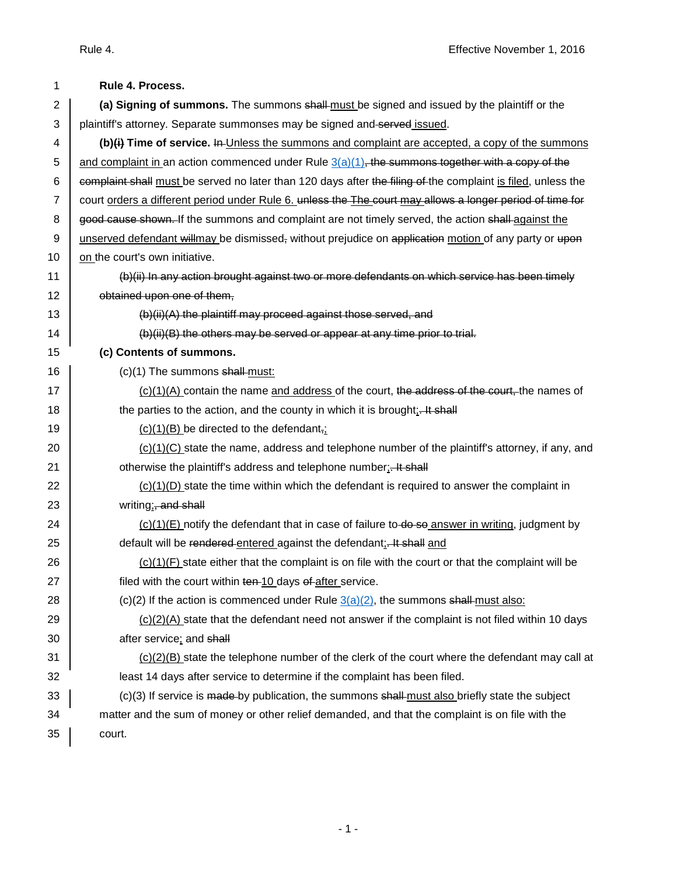| 1              | Rule 4. Process.                                                                                             |
|----------------|--------------------------------------------------------------------------------------------------------------|
| $\overline{2}$ | (a) Signing of summons. The summons shall-must be signed and issued by the plaintiff or the                  |
| 3              | plaintiff's attorney. Separate summonses may be signed and served issued.                                    |
| 4              | (b)(i) Time of service. In Unless the summons and complaint are accepted, a copy of the summons              |
| 5              | and complaint in an action commenced under Rule $3(a)(1)$ , the summons together with a copy of the          |
| 6              | complaint shall must be served no later than 120 days after the filing of the complaint is filed, unless the |
| $\overline{7}$ | court orders a different period under Rule 6. unless the The court may allows a longer period of time for    |
| 8              | good cause shown. If the summons and complaint are not timely served, the action shall against the           |
| 9              | unserved defendant willmay be dismissed, without prejudice on application motion of any party or upon        |
| 10             | on the court's own initiative.                                                                               |
| 11             | (b)(ii) In any action brought against two or more defendants on which service has been timely                |
| 12             | obtained upon one of them,                                                                                   |
| 13             | (b)(ii)(A) the plaintiff may proceed against those served, and                                               |
| 14             | (b)(ii)(B) the others may be served or appear at any time prior to trial.                                    |
| 15             | (c) Contents of summons.                                                                                     |
| 16             | (c)(1) The summons shall must:                                                                               |
| 17             | $(c)(1)(A)$ contain the name and address of the court, the address of the court, the names of                |
| 18             | the parties to the action, and the county in which it is brought: Ht shall                                   |
| 19             | $(c)(1)(B)$ be directed to the defendant,                                                                    |
| 20             | $(c)(1)(C)$ state the name, address and telephone number of the plaintiff's attorney, if any, and            |
| 21             | otherwise the plaintiff's address and telephone number:- It shall                                            |
| 22             | $(c)(1)(D)$ state the time within which the defendant is required to answer the complaint in                 |
| 23             | writing;, and shall                                                                                          |
| 24             | $(c)(1)(E)$ notify the defendant that in case of failure to-do so answer in writing, judgment by             |
| 25             | default will be rendered entered against the defendant: It shall and                                         |
| 26             | $(c)(1)(F)$ state either that the complaint is on file with the court or that the complaint will be          |
| 27             | filed with the court within ten-10 days of after service.                                                    |
| 28             | (c)(2) If the action is commenced under Rule $3(a)(2)$ , the summons shall-must also:                        |
| 29             | $(c)(2)(A)$ state that the defendant need not answer if the complaint is not filed within 10 days            |
| 30             | after service; and shall                                                                                     |
| 31             | $(c)(2)(B)$ state the telephone number of the clerk of the court where the defendant may call at             |
| 32             | least 14 days after service to determine if the complaint has been filed.                                    |
| 33             | $(c)(3)$ If service is made-by publication, the summons $shall-must$ also briefly state the subject          |
| 34             | matter and the sum of money or other relief demanded, and that the complaint is on file with the             |
| 35             | court.                                                                                                       |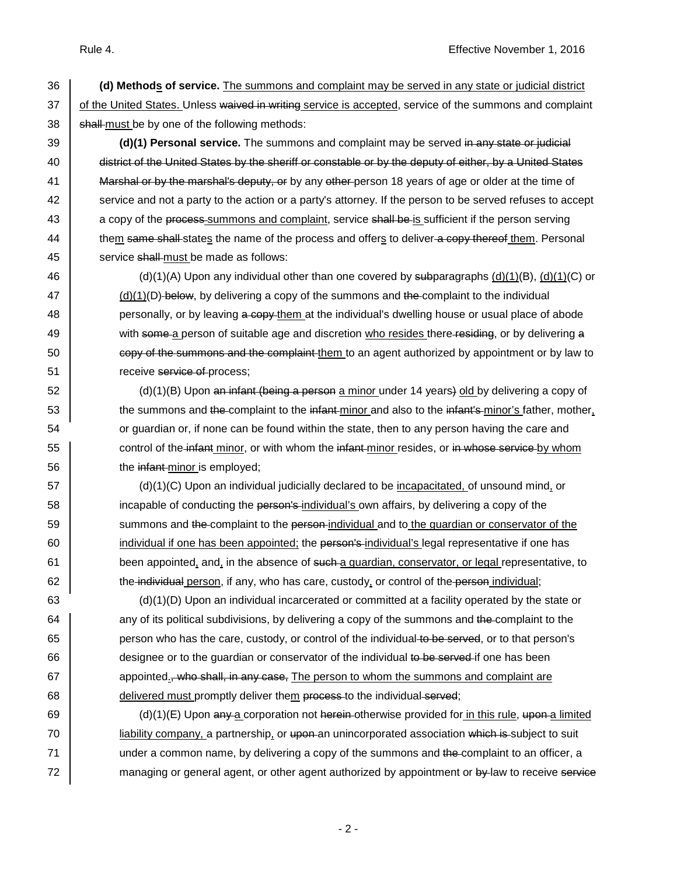36 **(d) Methods of service.** The summons and complaint may be served in any state or judicial district 37 of the United States. Unless waived in writing service is accepted, service of the summons and complaint  $38$  shall-must be by one of the following methods:

39 **(d)(1) Personal service.** The summons and complaint may be served in any state or judicial 40 district of the United States by the sheriff or constable or by the deputy of either, by a United States 41 Marshal or by the marshal's deputy, or by any other person 18 years of age or older at the time of 42 service and not a party to the action or a party's attorney. If the person to be served refuses to accept 43 a copy of the process-summons and complaint, service shall be is sufficient if the person serving 44 them same shall states the name of the process and offers to deliver a copy thereof them. Personal 45 service shall must be made as follows:

46 (d)(1)(A) Upon any individual other than one covered by subparagraphs (d)(1)(B), (d)(1)(C) or (d)(1)(D) below, by delivering a copy of the summons and the complaint to the individual **personally, or by leaving a copy** them at the individual's dwelling house or usual place of abode with some a person of suitable age and discretion who resides there residing, or by delivering a 50 sould copy of the summons and the complaint them to an agent authorized by appointment or by law to **Fig. 2.1** receive service of process;

 $\overline{52}$  (d)(1)(B) Upon an infant (being a person a minor under 14 years) old by delivering a copy of 53 the summons and the complaint to the infant minor and also to the infant's minor's father, mother, 54 or guardian or, if none can be found within the state, then to any person having the care and 55 **control of the infant minor, or with whom the infant minor resides, or in whose service by whom** 56 **the infant-minor is employed;** 

 $\begin{bmatrix} 57 \end{bmatrix}$  (d)(1)(C) Upon an individual judicially declared to be <u>incapacitated,</u> of unsound mind, or 58 incapable of conducting the person's individual's own affairs, by delivering a copy of the 59 summons and the complaint to the person-individual and to the quardian or conservator of the  $\overline{60}$  individual if one has been appointed; the person's individual's legal representative if one has  $61$  been appointed, and, in the absence of such a guardian, conservator, or legal representative, to  $62$  the individual person, if any, who has care, custody, or control of the person individual;

63 (d)(1)(D) Upon an individual incarcerated or committed at a facility operated by the state or 64 | any of its political subdivisions, by delivering a copy of the summons and the complaint to the 65 person who has the care, custody, or control of the individual to be served, or to that person's  $66$  designee or to the guardian or conservator of the individual to be served if one has been  $67$  appointed., who shall, in any case. The person to whom the summons and complaint are 68 delivered must promptly deliver them process to the individual served;

69 (d)(1)(E) Upon any a corporation not herein otherwise provided for in this rule, upon a limited 70 iiability company, a partnership, or upon an unincorporated association which is subject to suit  $71$  under a common name, by delivering a copy of the summons and the complaint to an officer, a 72 managing or general agent, or other agent authorized by appointment or by law to receive service

- 2 -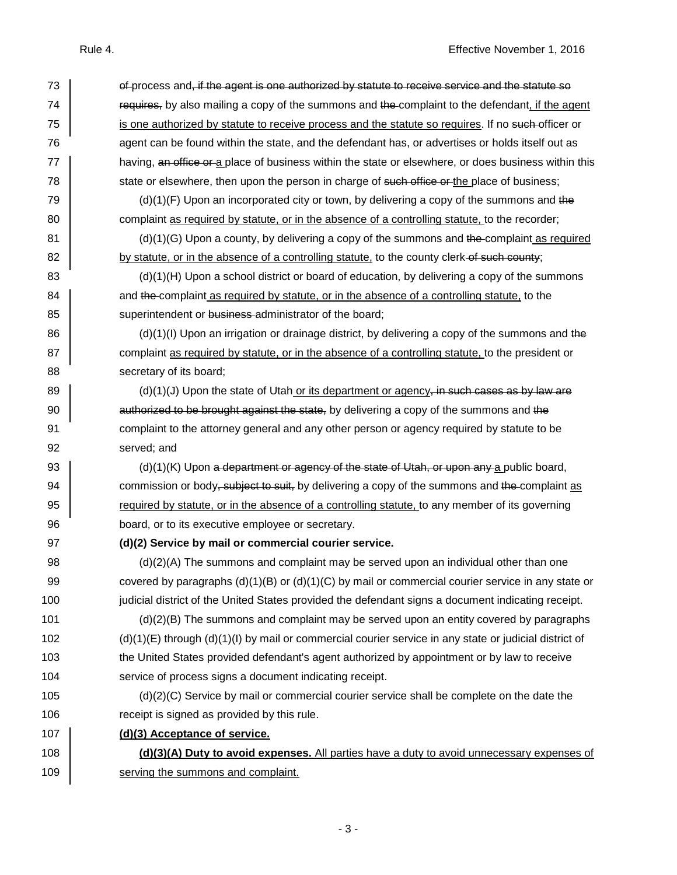| 73  | of process and, if the agent is one authorized by statute to receive service and the statute so            |
|-----|------------------------------------------------------------------------------------------------------------|
| 74  | requires, by also mailing a copy of the summons and the complaint to the defendant, if the agent           |
| 75  | is one authorized by statute to receive process and the statute so requires. If no such-officer or         |
| 76  | agent can be found within the state, and the defendant has, or advertises or holds itself out as           |
| 77  | having, an office or a place of business within the state or elsewhere, or does business within this       |
| 78  | state or elsewhere, then upon the person in charge of such office or the place of business;                |
| 79  | $(d)(1)(F)$ Upon an incorporated city or town, by delivering a copy of the summons and the                 |
| 80  | complaint as required by statute, or in the absence of a controlling statute, to the recorder;             |
| 81  | $(d)(1)(G)$ Upon a county, by delivering a copy of the summons and the complaint as required               |
| 82  | by statute, or in the absence of a controlling statute, to the county clerk-of-such county;                |
| 83  | $(d)(1)(H)$ Upon a school district or board of education, by delivering a copy of the summons              |
| 84  | and the complaint as required by statute, or in the absence of a controlling statute, to the               |
| 85  | superintendent or business administrator of the board;                                                     |
| 86  | $(d)(1)(I)$ Upon an irrigation or drainage district, by delivering a copy of the summons and the           |
| 87  | complaint as required by statute, or in the absence of a controlling statute, to the president or          |
| 88  | secretary of its board;                                                                                    |
| 89  | $(d)(1)(J)$ Upon the state of Utah or its department or agency, in such cases as by law are                |
| 90  | authorized to be brought against the state, by delivering a copy of the summons and the                    |
| 91  | complaint to the attorney general and any other person or agency required by statute to be                 |
| 92  | served; and                                                                                                |
| 93  | $(d)(1)(K)$ Upon a department or agency of the state of Utah, or upon any a public board,                  |
| 94  | commission or body, subject to suit, by delivering a copy of the summons and the complaint as              |
| 95  | required by statute, or in the absence of a controlling statute, to any member of its governing            |
| 96  | board, or to its executive employee or secretary.                                                          |
| 97  | (d)(2) Service by mail or commercial courier service.                                                      |
| 98  | (d)(2)(A) The summons and complaint may be served upon an individual other than one                        |
| 99  | covered by paragraphs $(d)(1)(B)$ or $(d)(1)(C)$ by mail or commercial courier service in any state or     |
| 100 | judicial district of the United States provided the defendant signs a document indicating receipt.         |
| 101 | (d)(2)(B) The summons and complaint may be served upon an entity covered by paragraphs                     |
| 102 | $(d)(1)(E)$ through $(d)(1)(I)$ by mail or commercial courier service in any state or judicial district of |
| 103 | the United States provided defendant's agent authorized by appointment or by law to receive                |
| 104 | service of process signs a document indicating receipt.                                                    |
| 105 | (d)(2)(C) Service by mail or commercial courier service shall be complete on the date the                  |
| 106 | receipt is signed as provided by this rule.                                                                |
| 107 | (d)(3) Acceptance of service.                                                                              |
| 108 | (d)(3)(A) Duty to avoid expenses. All parties have a duty to avoid unnecessary expenses of                 |
| 109 | serving the summons and complaint.                                                                         |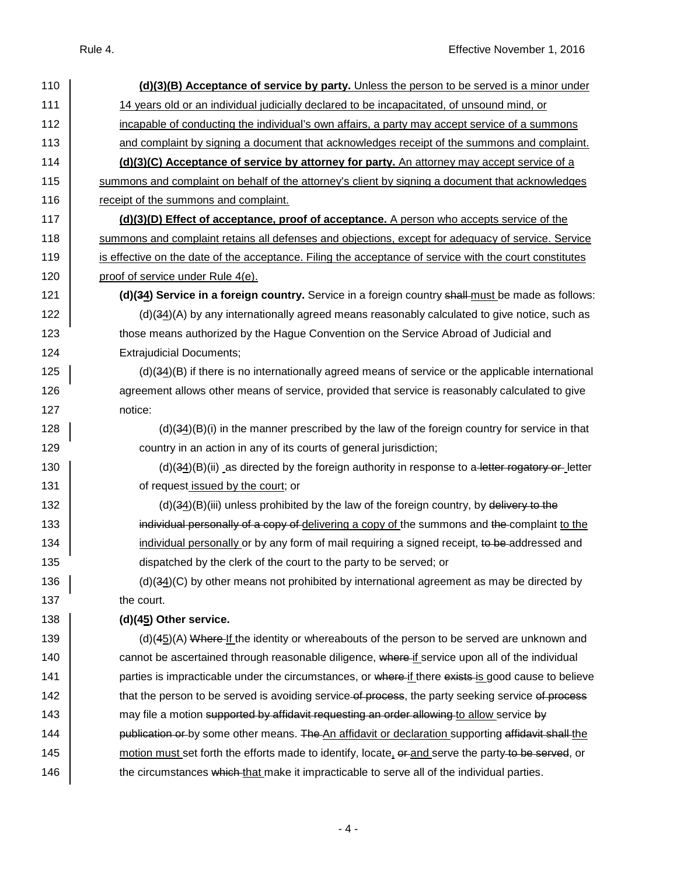| 110 | (d)(3)(B) Acceptance of service by party. Unless the person to be served is a minor under               |
|-----|---------------------------------------------------------------------------------------------------------|
| 111 | 14 years old or an individual judicially declared to be incapacitated, of unsound mind, or              |
| 112 | incapable of conducting the individual's own affairs, a party may accept service of a summons           |
| 113 | and complaint by signing a document that acknowledges receipt of the summons and complaint.             |
| 114 | (d)(3)(C) Acceptance of service by attorney for party. An attorney may accept service of a              |
| 115 | summons and complaint on behalf of the attorney's client by signing a document that acknowledges        |
| 116 | receipt of the summons and complaint.                                                                   |
| 117 | (d)(3)(D) Effect of acceptance, proof of acceptance. A person who accepts service of the                |
| 118 | summons and complaint retains all defenses and objections, except for adequacy of service. Service      |
| 119 | is effective on the date of the acceptance. Filing the acceptance of service with the court constitutes |
| 120 | proof of service under Rule 4(e).                                                                       |
| 121 | (d)(34) Service in a foreign country. Service in a foreign country shall must be made as follows:       |
| 122 | $(d)(34)(A)$ by any internationally agreed means reasonably calculated to give notice, such as          |
| 123 | those means authorized by the Hague Convention on the Service Abroad of Judicial and                    |
| 124 | <b>Extrajudicial Documents;</b>                                                                         |
| 125 | $(d)(34)(B)$ if there is no internationally agreed means of service or the applicable international     |
| 126 | agreement allows other means of service, provided that service is reasonably calculated to give         |
| 127 | notice:                                                                                                 |
| 128 | $(d)(34)(B)(i)$ in the manner prescribed by the law of the foreign country for service in that          |
| 129 | country in an action in any of its courts of general jurisdiction;                                      |
| 130 | $(d)(34)(B)(ii)$ as directed by the foreign authority in response to a letter regatory or letter        |
| 131 | of request issued by the court; or                                                                      |
| 132 | $(d)(34)(B)(iii)$ unless prohibited by the law of the foreign country, by delivery to the               |
| 133 | individual personally of a copy of delivering a copy of the summons and the complaint to the            |
| 134 | individual personally or by any form of mail requiring a signed receipt, to be addressed and            |
| 135 | dispatched by the clerk of the court to the party to be served; or                                      |
| 136 | $(d)(34)(C)$ by other means not prohibited by international agreement as may be directed by             |
| 137 | the court.                                                                                              |
| 138 | (d)(45) Other service.                                                                                  |
| 139 | (d)(45)(A) Where If the identity or whereabouts of the person to be served are unknown and              |
| 140 | cannot be ascertained through reasonable diligence, where if service upon all of the individual         |
| 141 | parties is impracticable under the circumstances, or where if there exists is good cause to believe     |
| 142 | that the person to be served is avoiding service-of process, the party seeking service of process       |
| 143 | may file a motion supported by affidavit requesting an order allowing to allow service by               |
| 144 | publication or by some other means. The An affidavit or declaration supporting affidavit shall the      |
| 145 | motion must set forth the efforts made to identify, locate, or and serve the party-to-be-served, or     |
| 146 | the circumstances which that make it impracticable to serve all of the individual parties.              |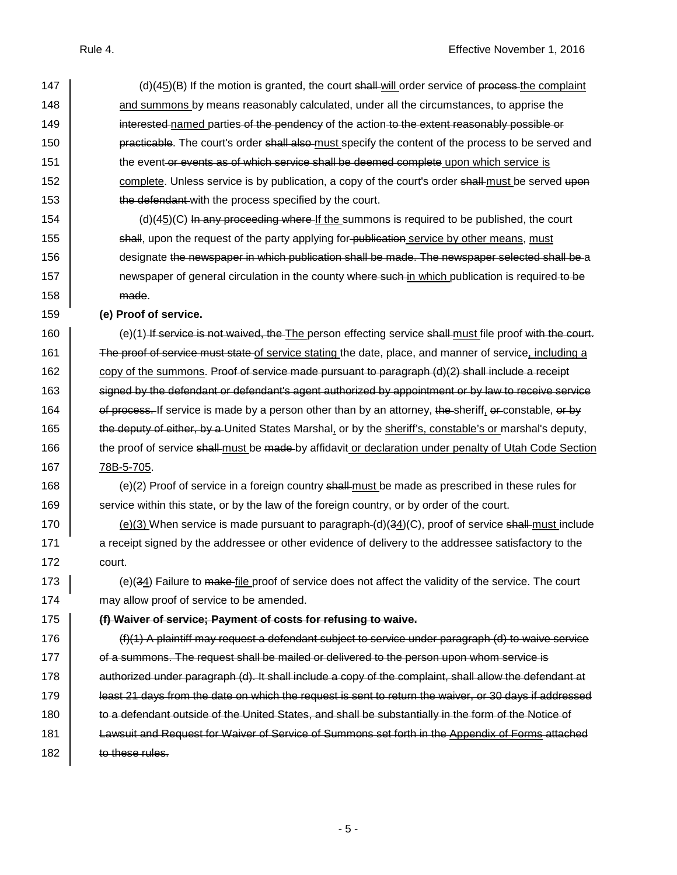| 147 | (d)(45)(B) If the motion is granted, the court shall will order service of process the complaint        |
|-----|---------------------------------------------------------------------------------------------------------|
| 148 | and summons by means reasonably calculated, under all the circumstances, to apprise the                 |
| 149 | interested named parties of the pendency of the action to the extent reasonably possible or             |
| 150 | practicable. The court's order shall also-must specify the content of the process to be served and      |
| 151 | the event or events as of which service shall be deemed complete upon which service is                  |
| 152 | complete. Unless service is by publication, a copy of the court's order shall-must be served upon       |
| 153 | the defendant-with the process specified by the court.                                                  |
| 154 | $(d)(45)(C)$ In any proceeding where If the summons is required to be published, the court              |
| 155 | shall, upon the request of the party applying for-publication service by other means, must              |
| 156 | designate the newspaper in which publication shall be made. The newspaper selected shall be a           |
| 157 | newspaper of general circulation in the county where such-in which publication is required-to-be        |
| 158 | made.                                                                                                   |
| 159 | (e) Proof of service.                                                                                   |
| 160 | (e)(1) If service is not waived, the The person effecting service shall must file proof with the court. |
| 161 | The proof of service must state of service stating the date, place, and manner of service, including a  |
| 162 | copy of the summons. Proof of service made pursuant to paragraph $(d)(2)$ shall include a receipt       |
| 163 | signed by the defendant or defendant's agent authorized by appointment or by law to receive service     |
| 164 | of process. If service is made by a person other than by an attorney, the sheriff, or constable, or by  |
| 165 | the deputy of either, by a United States Marshal, or by the sheriff's, constable's or marshal's deputy, |
| 166 | the proof of service shall-must be made-by affidavit or declaration under penalty of Utah Code Section  |
| 167 | 78B-5-705.                                                                                              |
| 168 | (e)(2) Proof of service in a foreign country shall-must be made as prescribed in these rules for        |
| 169 | service within this state, or by the law of the foreign country, or by order of the court.              |
| 170 | $(e)(3)$ When service is made pursuant to paragraph- $(d)(34)(C)$ , proof of service shall-must include |
| 171 | a receipt signed by the addressee or other evidence of delivery to the addressee satisfactory to the    |
| 172 | court.                                                                                                  |
| 173 | (e)(34) Failure to make-file proof of service does not affect the validity of the service. The court    |
| 174 | may allow proof of service to be amended.                                                               |
| 175 | (f) Waiver of service; Payment of costs for refusing to waive.                                          |
| 176 | $(f)(1)$ A plaintiff may request a defendant subject to service under paragraph (d) to waive service    |
| 177 | of a summons. The request shall be mailed or delivered to the person upon whom service is               |
| 178 | authorized under paragraph (d). It shall include a copy of the complaint, shall allow the defendant at  |
| 179 | least 21 days from the date on which the request is sent to return the waiver, or 30 days if addressed  |
| 180 | to a defendant outside of the United States, and shall be substantially in the form of the Notice of    |
| 181 | Lawsuit and Request for Waiver of Service of Summons set forth in the Appendix of Forms attached        |
| 182 | to these rules.                                                                                         |
|     |                                                                                                         |